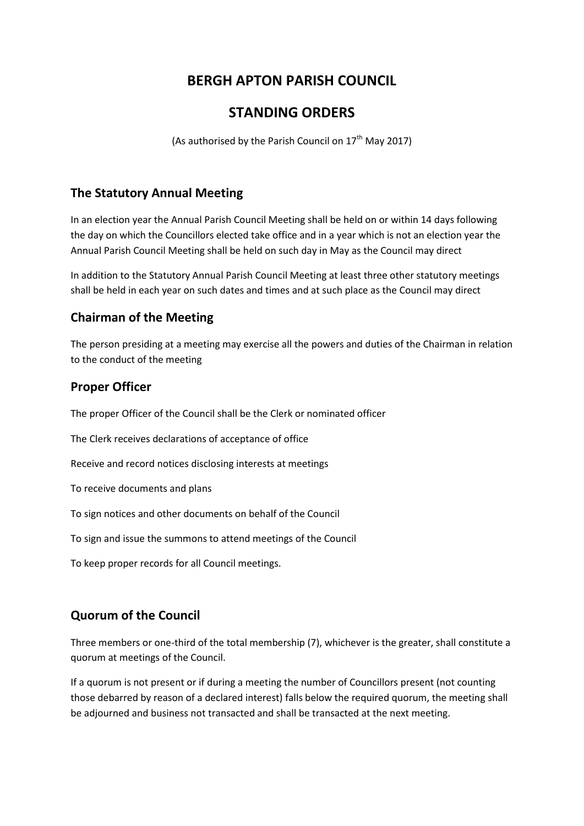# **BERGH APTON PARISH COUNCIL**

## **STANDING ORDERS**

(As authorised by the Parish Council on  $17<sup>th</sup>$  May 2017)

### **The Statutory Annual Meeting**

In an election year the Annual Parish Council Meeting shall be held on or within 14 days following the day on which the Councillors elected take office and in a year which is not an election year the Annual Parish Council Meeting shall be held on such day in May as the Council may direct

In addition to the Statutory Annual Parish Council Meeting at least three other statutory meetings shall be held in each year on such dates and times and at such place as the Council may direct

## **Chairman of the Meeting**

The person presiding at a meeting may exercise all the powers and duties of the Chairman in relation to the conduct of the meeting

## **Proper Officer**

The proper Officer of the Council shall be the Clerk or nominated officer

The Clerk receives declarations of acceptance of office

Receive and record notices disclosing interests at meetings

To receive documents and plans

To sign notices and other documents on behalf of the Council

To sign and issue the summons to attend meetings of the Council

To keep proper records for all Council meetings.

## **Quorum of the Council**

Three members or one-third of the total membership (7), whichever is the greater, shall constitute a quorum at meetings of the Council.

If a quorum is not present or if during a meeting the number of Councillors present (not counting those debarred by reason of a declared interest) falls below the required quorum, the meeting shall be adjourned and business not transacted and shall be transacted at the next meeting.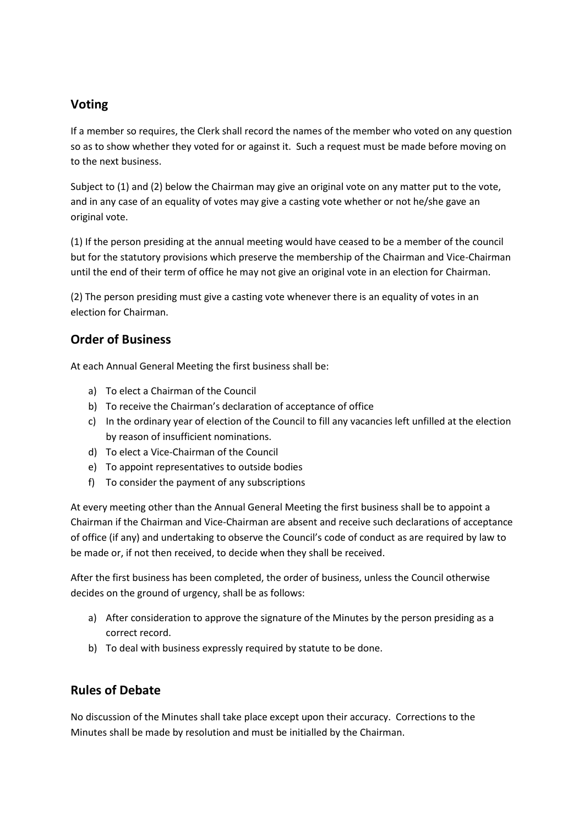### **Voting**

If a member so requires, the Clerk shall record the names of the member who voted on any question so as to show whether they voted for or against it. Such a request must be made before moving on to the next business.

Subject to (1) and (2) below the Chairman may give an original vote on any matter put to the vote, and in any case of an equality of votes may give a casting vote whether or not he/she gave an original vote.

(1) If the person presiding at the annual meeting would have ceased to be a member of the council but for the statutory provisions which preserve the membership of the Chairman and Vice-Chairman until the end of their term of office he may not give an original vote in an election for Chairman.

(2) The person presiding must give a casting vote whenever there is an equality of votes in an election for Chairman.

### **Order of Business**

At each Annual General Meeting the first business shall be:

- a) To elect a Chairman of the Council
- b) To receive the Chairman's declaration of acceptance of office
- c) In the ordinary year of election of the Council to fill any vacancies left unfilled at the election by reason of insufficient nominations.
- d) To elect a Vice-Chairman of the Council
- e) To appoint representatives to outside bodies
- f) To consider the payment of any subscriptions

At every meeting other than the Annual General Meeting the first business shall be to appoint a Chairman if the Chairman and Vice-Chairman are absent and receive such declarations of acceptance of office (if any) and undertaking to observe the Council's code of conduct as are required by law to be made or, if not then received, to decide when they shall be received.

After the first business has been completed, the order of business, unless the Council otherwise decides on the ground of urgency, shall be as follows:

- a) After consideration to approve the signature of the Minutes by the person presiding as a correct record.
- b) To deal with business expressly required by statute to be done.

## **Rules of Debate**

No discussion of the Minutes shall take place except upon their accuracy. Corrections to the Minutes shall be made by resolution and must be initialled by the Chairman.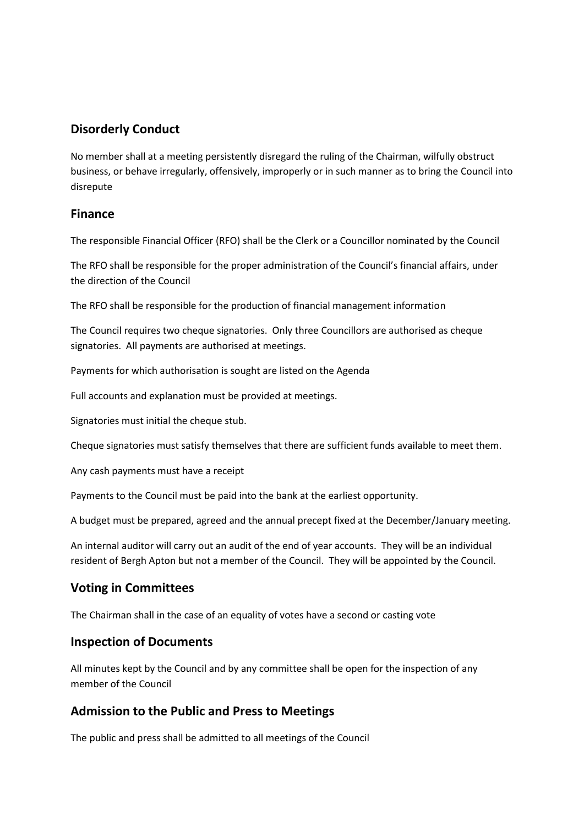#### **Disorderly Conduct**

No member shall at a meeting persistently disregard the ruling of the Chairman, wilfully obstruct business, or behave irregularly, offensively, improperly or in such manner as to bring the Council into disrepute

#### **Finance**

The responsible Financial Officer (RFO) shall be the Clerk or a Councillor nominated by the Council

The RFO shall be responsible for the proper administration of the Council's financial affairs, under the direction of the Council

The RFO shall be responsible for the production of financial management information

The Council requires two cheque signatories. Only three Councillors are authorised as cheque signatories. All payments are authorised at meetings.

Payments for which authorisation is sought are listed on the Agenda

Full accounts and explanation must be provided at meetings.

Signatories must initial the cheque stub.

Cheque signatories must satisfy themselves that there are sufficient funds available to meet them.

Any cash payments must have a receipt

Payments to the Council must be paid into the bank at the earliest opportunity.

A budget must be prepared, agreed and the annual precept fixed at the December/January meeting.

An internal auditor will carry out an audit of the end of year accounts. They will be an individual resident of Bergh Apton but not a member of the Council. They will be appointed by the Council.

### **Voting in Committees**

The Chairman shall in the case of an equality of votes have a second or casting vote

#### **Inspection of Documents**

All minutes kept by the Council and by any committee shall be open for the inspection of any member of the Council

### **Admission to the Public and Press to Meetings**

The public and press shall be admitted to all meetings of the Council